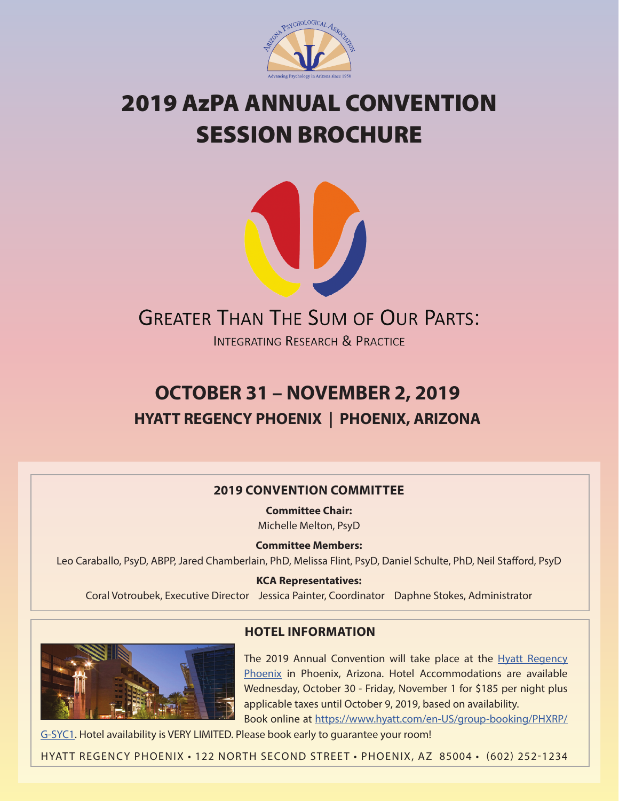

# 2019 AzPA ANNUAL CONVENTION SESSION BROCHURE



**INTEGRATING RESEARCH & PRACTICE** 

# **OCTOBER 31 – NOVEMBER 2, 2019 HYATT REGENCY PHOENIX | PHOENIX, ARIZONA**

# **2019 CONVENTION COMMITTEE**

**Committee Chair:** Michelle Melton, PsyD

**Committee Members:** Leo Caraballo, PsyD, ABPP, Jared Chamberlain, PhD, Melissa Flint, PsyD, Daniel Schulte, PhD, Neil Stafford, PsyD

**KCA Representatives:** Coral Votroubek, Executive Director Jessica Painter, Coordinator Daphne Stokes, Administrator



# **HOTEL INFORMATION**

The 2019 Annual Convention will take place at the [Hyatt Regency](https://www.hyatt.com/en-US/hotel/arizona/hyatt-regency-phoenix/phxrp)  [Phoenix](https://www.hyatt.com/en-US/hotel/arizona/hyatt-regency-phoenix/phxrp)  in Phoenix, Arizona. Hotel Accommodations are available Wednesday, October 30 - Friday, November 1 for \$185 per night plus applicable taxes until October 9, 2019, based on availability. Book online at [https://www.hyatt.com/en-US/group-booking/PHXRP/](https://www.hyatt.com/en-US/group-booking/PHXRP/G-SYC1)

[G-SYC1.](https://www.hyatt.com/en-US/group-booking/PHXRP/G-SYC1) Hotel availability is VERY LIMITED. Please book early to guarantee your room!

HYATT REGENCY PHOENIX · 122 NORTH SECOND STREET · PHOENIX, AZ 85004 · (602) 252-1234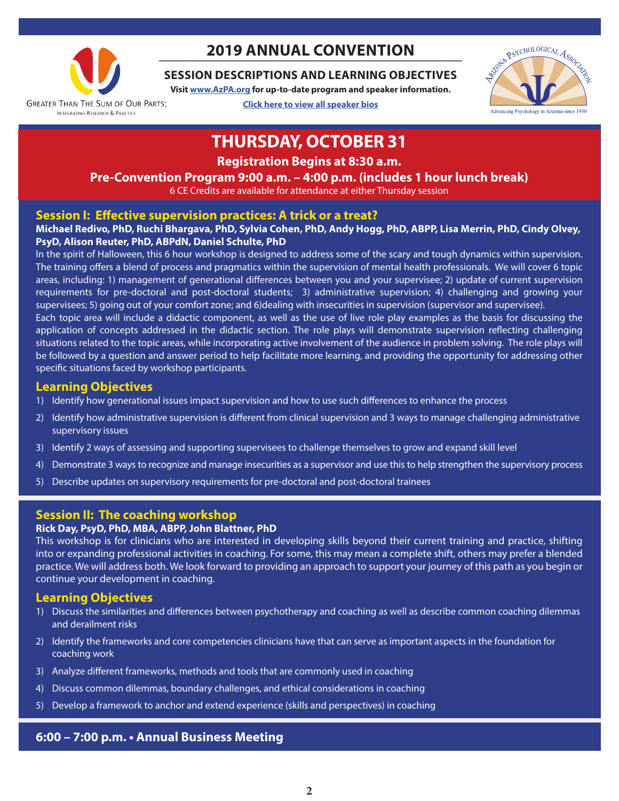

# **\_\_\_\_\_\_\_\_\_\_\_\_\_\_\_\_\_\_\_\_\_\_\_\_\_\_\_\_\_\_\_\_\_\_\_\_\_\_\_ 2019 ANNUAL CONVENTION**

# **SESSION DESCRIPTIONS AND LEARNING OBJECTIVES**

**Visit [www.AzPA.org](https://azpa.org/index.php) for up-to-date program and speaker information.**

**[Click here to view all speaker bios](https://azpa.starchapter.com/images/downloads/azpa_2019_convention_speaker_bios_final.pdf)**



# **THURSDAY, OCTOBER 31**

**Registration Begins at 8:30 a.m.**

# **Pre-Convention Program 9:00 a.m. – 4:00 p.m. (includes 1 hour lunch break)**

6 CE Credits are available for attendance at either Thursday session

### **Session I: Effective supervision practices: A trick or a treat?**

#### **Michael Redivo, PhD, Ruchi Bhargava, PhD, Sylvia Cohen, PhD, Andy Hogg, PhD, ABPP, Lisa Merrin, PhD, Cindy Olvey, PsyD, Alison Reuter, PhD, ABPdN, Daniel Schulte, PhD**

In the spirit of Halloween, this 6 hour workshop is designed to address some of the scary and tough dynamics within supervision. The training offers a blend of process and pragmatics within the supervision of mental health professionals. We will cover 6 topic areas, including: 1) management of generational differences between you and your supervisee; 2) update of current supervision requirements for pre-doctoral and post-doctoral students; 3) administrative supervision; 4) challenging and growing your supervisees; 5) going out of your comfort zone; and 6)dealing with insecurities in supervision (supervisor and supervisee).

Each topic area will include a didactic component, as well as the use of live role play examples as the basis for discussing the application of concepts addressed in the didactic section. The role plays will demonstrate supervision reflecting challenging situations related to the topic areas, while incorporating active involvement of the audience in problem solving. The role plays will be followed by a question and answer period to help facilitate more learning, and providing the opportunity for addressing other specific situations faced by workshop participants.

# **Learning Objectives**

- 1) Identify how generational issues impact supervision and how to use such differences to enhance the process
- 2) Identify how administrative supervision is different from clinical supervision and 3 ways to manage challenging administrative supervisory issues
- 3) Identify 2 ways of assessing and supporting supervisees to challenge themselves to grow and expand skill level
- 4) Demonstrate 3 ways to recognize and manage insecurities as a supervisor and use this to help strengthen the supervisory process
- 5) Describe updates on supervisory requirements for pre-doctoral and post-doctoral trainees

# **Session II: The coaching workshop**

#### **Rick Day, PsyD, PhD, MBA, ABPP, John Blattner, PhD**

This workshop is for clinicians who are interested in developing skills beyond their current training and practice, shifting into or expanding professional activities in coaching. For some, this may mean a complete shift, others may prefer a blended practice. We will address both. We look forward to providing an approach to support your journey of this path as you begin or continue your development in coaching.

### **Learning Objectives**

- 1) Discuss the similarities and differences between psychotherapy and coaching as well as describe common coaching dilemmas and derailment risks
- 2) Identify the frameworks and core competencies clinicians have that can serve as important aspects in the foundation for coaching work
- 3) Analyze different frameworks, methods and tools that are commonly used in coaching
- 4) Discuss common dilemmas, boundary challenges, and ethical considerations in coaching
- 5) Develop a framework to anchor and extend experience (skills and perspectives) in coaching

### **6:00 – 7:00 p.m. • Annual Business Meeting**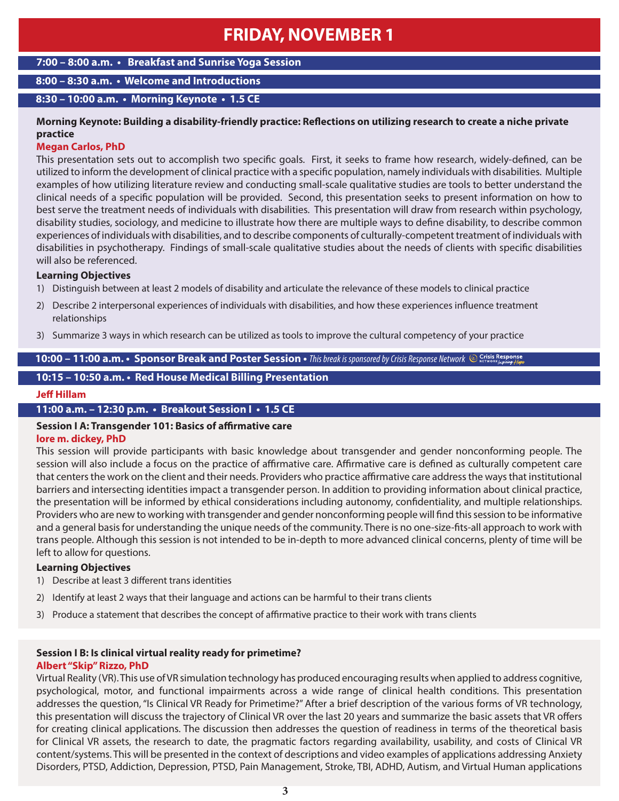# **FRIDAY, NOVEMBER 1**

#### **7:00 – 8:00 a.m. • Breakfast and Sunrise Yoga Session**

### **8:00 – 8:30 a.m. • Welcome and Introductions**

#### **8:30 – 10:00 a.m. • Morning Keynote • 1.5 CE**

#### **Morning Keynote: Building a disability-friendly practice: Reflections on utilizing research to create a niche private practice**

#### **Megan Carlos, PhD**

This presentation sets out to accomplish two specific goals. First, it seeks to frame how research, widely-defined, can be utilized to inform the development of clinical practice with a specific population, namely individuals with disabilities. Multiple examples of how utilizing literature review and conducting small-scale qualitative studies are tools to better understand the clinical needs of a specific population will be provided. Second, this presentation seeks to present information on how to best serve the treatment needs of individuals with disabilities. This presentation will draw from research within psychology, disability studies, sociology, and medicine to illustrate how there are multiple ways to define disability, to describe common experiences of individuals with disabilities, and to describe components of culturally-competent treatment of individuals with disabilities in psychotherapy. Findings of small-scale qualitative studies about the needs of clients with specific disabilities will also be referenced.

#### **Learning Objectives**

- 1) Distinguish between at least 2 models of disability and articulate the relevance of these models to clinical practice
- 2) Describe 2 interpersonal experiences of individuals with disabilities, and how these experiences influence treatment relationships
- 3) Summarize 3 ways in which research can be utilized as tools to improve the cultural competency of your practice

#### **10:00 – 11:00 a.m. • Sponsor Break and Poster Session •** *This break is sponsored by Crisis Response Network*

#### **10:15 – 10:50 a.m. • Red House Medical Billing Presentation**

#### **Jeff Hillam**

#### **11:00 a.m. – 12:30 p.m. • Breakout Session I • 1.5 CE**

# **Session I A: Transgender 101: Basics of affirmative care**

#### **lore m. dickey, PhD**

This session will provide participants with basic knowledge about transgender and gender nonconforming people. The session will also include a focus on the practice of affirmative care. Affirmative care is defined as culturally competent care that centers the work on the client and their needs. Providers who practice affirmative care address the ways that institutional barriers and intersecting identities impact a transgender person. In addition to providing information about clinical practice, the presentation will be informed by ethical considerations including autonomy, confidentiality, and multiple relationships. Providers who are new to working with transgender and gender nonconforming people will find this session to be informative and a general basis for understanding the unique needs of the community. There is no one-size-fits-all approach to work with trans people. Although this session is not intended to be in-depth to more advanced clinical concerns, plenty of time will be left to allow for questions.

#### **Learning Objectives**

- 1) Describe at least 3 different trans identities
- 2) Identify at least 2 ways that their language and actions can be harmful to their trans clients
- 3) Produce a statement that describes the concept of affirmative practice to their work with trans clients

#### **Session I B: Is clinical virtual reality ready for primetime? Albert "Skip" Rizzo, PhD**

Virtual Reality (VR). This use of VR simulation technology has produced encouraging results when applied to address cognitive, psychological, motor, and functional impairments across a wide range of clinical health conditions. This presentation addresses the question, "Is Clinical VR Ready for Primetime?" After a brief description of the various forms of VR technology, this presentation will discuss the trajectory of Clinical VR over the last 20 years and summarize the basic assets that VR offers for creating clinical applications. The discussion then addresses the question of readiness in terms of the theoretical basis for Clinical VR assets, the research to date, the pragmatic factors regarding availability, usability, and costs of Clinical VR content/systems. This will be presented in the context of descriptions and video examples of applications addressing Anxiety Disorders, PTSD, Addiction, Depression, PTSD, Pain Management, Stroke, TBI, ADHD, Autism, and Virtual Human applications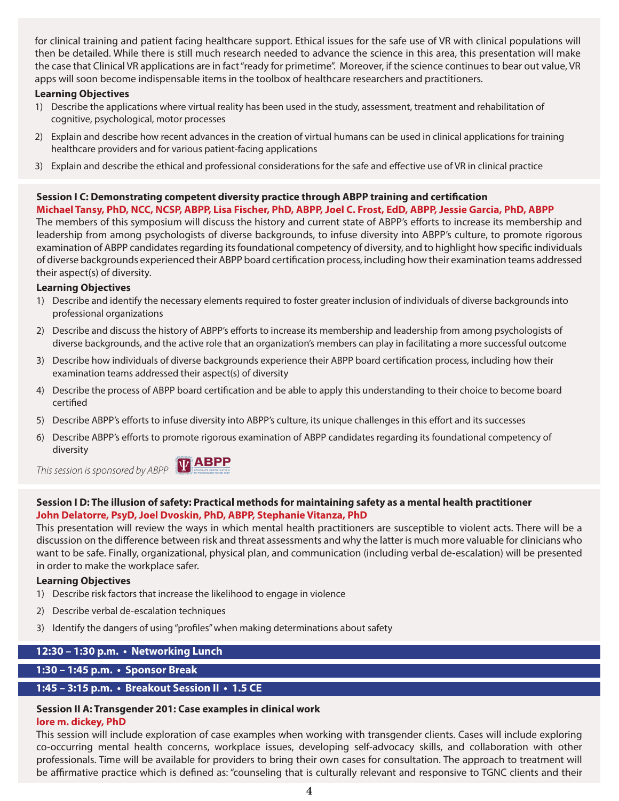for clinical training and patient facing healthcare support. Ethical issues for the safe use of VR with clinical populations will then be detailed. While there is still much research needed to advance the science in this area, this presentation will make the case that Clinical VR applications are in fact "ready for primetime". Moreover, if the science continues to bear out value, VR apps will soon become indispensable items in the toolbox of healthcare researchers and practitioners.

#### **Learning Objectives**

- 1) Describe the applications where virtual reality has been used in the study, assessment, treatment and rehabilitation of cognitive, psychological, motor processes
- 2) Explain and describe how recent advances in the creation of virtual humans can be used in clinical applications for training healthcare providers and for various patient-facing applications
- 3) Explain and describe the ethical and professional considerations for the safe and effective use of VR in clinical practice

# **Session I C: Demonstrating competent diversity practice through ABPP training and certification**

**Michael Tansy, PhD, NCC, NCSP, ABPP, Lisa Fischer, PhD, ABPP, Joel C. Frost, EdD, ABPP, Jessie Garcia, PhD, ABPP** The members of this symposium will discuss the history and current state of ABPP's efforts to increase its membership and leadership from among psychologists of diverse backgrounds, to infuse diversity into ABPP's culture, to promote rigorous examination of ABPP candidates regarding its foundational competency of diversity, and to highlight how specific individuals of diverse backgrounds experienced their ABPP board certification process, including how their examination teams addressed their aspect(s) of diversity.

#### **Learning Objectives**

- 1) Describe and identify the necessary elements required to foster greater inclusion of individuals of diverse backgrounds into professional organizations
- 2) Describe and discuss the history of ABPP's efforts to increase its membership and leadership from among psychologists of diverse backgrounds, and the active role that an organization's members can play in facilitating a more successful outcome
- 3) Describe how individuals of diverse backgrounds experience their ABPP board certification process, including how their examination teams addressed their aspect(s) of diversity
- 4) Describe the process of ABPP board certification and be able to apply this understanding to their choice to become board certified
- 5) Describe ABPP's efforts to infuse diversity into ABPP's culture, its unique challenges in this effort and its successes
- 6) Describe ABPP's efforts to promote rigorous examination of ABPP candidates regarding its foundational competency of diversity

*This session is sponsored by ABPP*



#### **Session I D: The illusion of safety: Practical methods for maintaining safety as a mental health practitioner John Delatorre, PsyD, Joel Dvoskin, PhD, ABPP, Stephanie Vitanza, PhD**

This presentation will review the ways in which mental health practitioners are susceptible to violent acts. There will be a discussion on the difference between risk and threat assessments and why the latter is much more valuable for clinicians who want to be safe. Finally, organizational, physical plan, and communication (including verbal de-escalation) will be presented in order to make the workplace safer.

#### **Learning Objectives**

- 1) Describe risk factors that increase the likelihood to engage in violence
- 2) Describe verbal de-escalation techniques
- 3) Identify the dangers of using "profiles" when making determinations about safety

#### **12:30 – 1:30 p.m. • Networking Lunch**

#### **1:30 – 1:45 p.m. • Sponsor Break**

### **1:45 – 3:15 p.m. • Breakout Session II • 1.5 CE**

#### **Session II A: Transgender 201: Case examples in clinical work lore m. dickey, PhD**

This session will include exploration of case examples when working with transgender clients. Cases will include exploring co-occurring mental health concerns, workplace issues, developing self-advocacy skills, and collaboration with other professionals. Time will be available for providers to bring their own cases for consultation. The approach to treatment will be affirmative practice which is defined as: "counseling that is culturally relevant and responsive to TGNC clients and their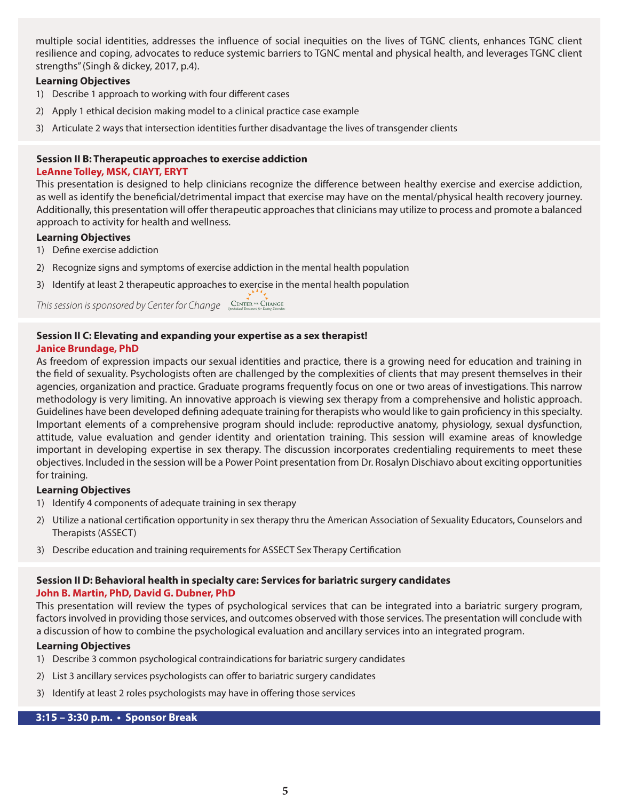multiple social identities, addresses the influence of social inequities on the lives of TGNC clients, enhances TGNC client resilience and coping, advocates to reduce systemic barriers to TGNC mental and physical health, and leverages TGNC client strengths" (Singh & dickey, 2017, p.4).

#### **Learning Objectives**

- 1) Describe 1 approach to working with four different cases
- 2) Apply 1 ethical decision making model to a clinical practice case example
- 3) Articulate 2 ways that intersection identities further disadvantage the lives of transgender clients

#### **Session II B: Therapeutic approaches to exercise addiction LeAnne Tolley, MSK, CIAYT, ERYT**

This presentation is designed to help clinicians recognize the difference between healthy exercise and exercise addiction, as well as identify the beneficial/detrimental impact that exercise may have on the mental/physical health recovery journey. Additionally, this presentation will offer therapeutic approaches that clinicians may utilize to process and promote a balanced approach to activity for health and wellness.

#### **Learning Objectives**

- 1) Define exercise addiction
- 2) Recognize signs and symptoms of exercise addiction in the mental health population
- 3) Identify at least 2 therapeutic approaches to exercise in the mental health population

*This session is sponsored by Center for Change*

#### **Session II C: Elevating and expanding your expertise as a sex therapist! Janice Brundage, PhD**

As freedom of expression impacts our sexual identities and practice, there is a growing need for education and training in the field of sexuality. Psychologists often are challenged by the complexities of clients that may present themselves in their agencies, organization and practice. Graduate programs frequently focus on one or two areas of investigations. This narrow methodology is very limiting. An innovative approach is viewing sex therapy from a comprehensive and holistic approach. Guidelines have been developed defining adequate training for therapists who would like to gain proficiency in this specialty. Important elements of a comprehensive program should include: reproductive anatomy, physiology, sexual dysfunction, attitude, value evaluation and gender identity and orientation training. This session will examine areas of knowledge important in developing expertise in sex therapy. The discussion incorporates credentialing requirements to meet these objectives. Included in the session will be a Power Point presentation from Dr. Rosalyn Dischiavo about exciting opportunities for training.

#### **Learning Objectives**

- 1) Identify 4 components of adequate training in sex therapy
- 2) Utilize a national certification opportunity in sex therapy thru the American Association of Sexuality Educators, Counselors and Therapists (ASSECT)
- 3) Describe education and training requirements for ASSECT Sex Therapy Certification

#### **Session II D: Behavioral health in specialty care: Services for bariatric surgery candidates John B. Martin, PhD, David G. Dubner, PhD**

This presentation will review the types of psychological services that can be integrated into a bariatric surgery program, factors involved in providing those services, and outcomes observed with those services. The presentation will conclude with a discussion of how to combine the psychological evaluation and ancillary services into an integrated program.

#### **Learning Objectives**

- 1) Describe 3 common psychological contraindications for bariatric surgery candidates
- 2) List 3 ancillary services psychologists can offer to bariatric surgery candidates
- 3) Identify at least 2 roles psychologists may have in offering those services

#### **3:15 – 3:30 p.m. • Sponsor Break**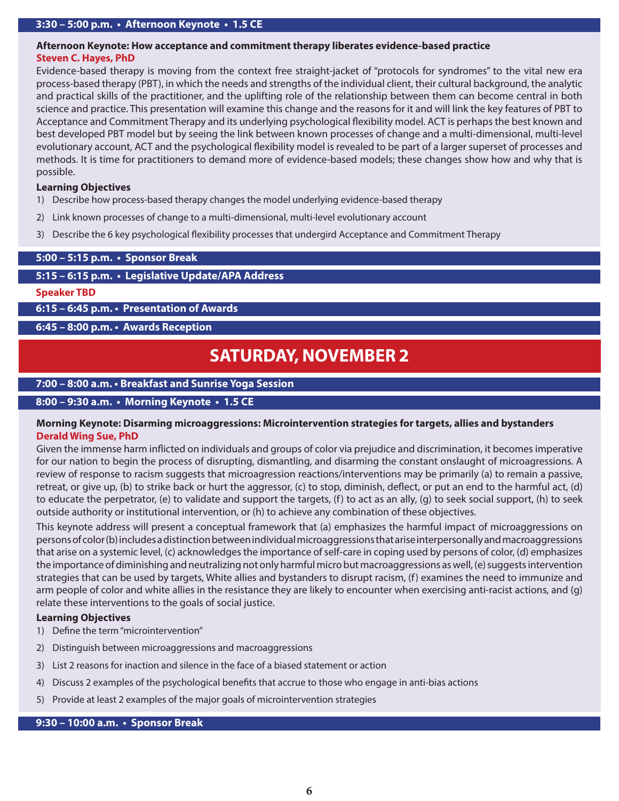#### **Afternoon Keynote: How acceptance and commitment therapy liberates evidence-based practice Steven C. Hayes, PhD**

Evidence-based therapy is moving from the context free straight-jacket of "protocols for syndromes" to the vital new era process-based therapy (PBT), in which the needs and strengths of the individual client, their cultural background, the analytic and practical skills of the practitioner, and the uplifting role of the relationship between them can become central in both science and practice. This presentation will examine this change and the reasons for it and will link the key features of PBT to Acceptance and Commitment Therapy and its underlying psychological flexibility model. ACT is perhaps the best known and best developed PBT model but by seeing the link between known processes of change and a multi-dimensional, multi-level evolutionary account, ACT and the psychological flexibility model is revealed to be part of a larger superset of processes and methods. It is time for practitioners to demand more of evidence-based models; these changes show how and why that is possible.

#### **Learning Objectives**

- 1) Describe how process-based therapy changes the model underlying evidence-based therapy
- 2) Link known processes of change to a multi-dimensional, multi-level evolutionary account
- 3) Describe the 6 key psychological flexibility processes that undergird Acceptance and Commitment Therapy

#### **5:00 – 5:15 p.m. • Sponsor Break**

#### **5:15 – 6:15 p.m. • Legislative Update/APA Address**

#### **Speaker TBD**

**6:15 – 6:45 p.m. • Presentation of Awards**

**6:45 – 8:00 p.m. • Awards Reception**

# **SATURDAY, NOVEMBER 2**

#### **7:00 – 8:00 a.m. • Breakfast and Sunrise Yoga Session**

#### **8:00 – 9:30 a.m. • Morning Keynote • 1.5 CE**

#### **Morning Keynote: Disarming microaggressions: Microintervention strategies for targets, allies and bystanders Derald Wing Sue, PhD**

Given the immense harm inflicted on individuals and groups of color via prejudice and discrimination, it becomes imperative for our nation to begin the process of disrupting, dismantling, and disarming the constant onslaught of microagressions. A review of response to racism suggests that microagression reactions/interventions may be primarily (a) to remain a passive, retreat, or give up, (b) to strike back or hurt the aggressor, (c) to stop, diminish, deflect, or put an end to the harmful act, (d) to educate the perpetrator, (e) to validate and support the targets, (f) to act as an ally, (g) to seek social support, (h) to seek outside authority or institutional intervention, or (h) to achieve any combination of these objectives.

This keynote address will present a conceptual framework that (a) emphasizes the harmful impact of microaggressions on persons of color (b) includes a distinction between individual microaggressions that arise interpersonally and macroaggressions that arise on a systemic level, (c) acknowledges the importance of self-care in coping used by persons of color, (d) emphasizes the importance of diminishing and neutralizing not only harmful micro but macroaggressions as well, (e) suggests intervention strategies that can be used by targets, White allies and bystanders to disrupt racism, (f) examines the need to immunize and arm people of color and white allies in the resistance they are likely to encounter when exercising anti-racist actions, and (g) relate these interventions to the goals of social justice.

#### **Learning Objectives**

- 1) Define the term "microintervention"
- 2) Distinguish between microaggressions and macroaggressions
- 3) List 2 reasons for inaction and silence in the face of a biased statement or action
- 4) Discuss 2 examples of the psychological benefits that accrue to those who engage in anti-bias actions
- 5) Provide at least 2 examples of the major goals of microintervention strategies

#### **9:30 – 10:00 a.m. • Sponsor Break**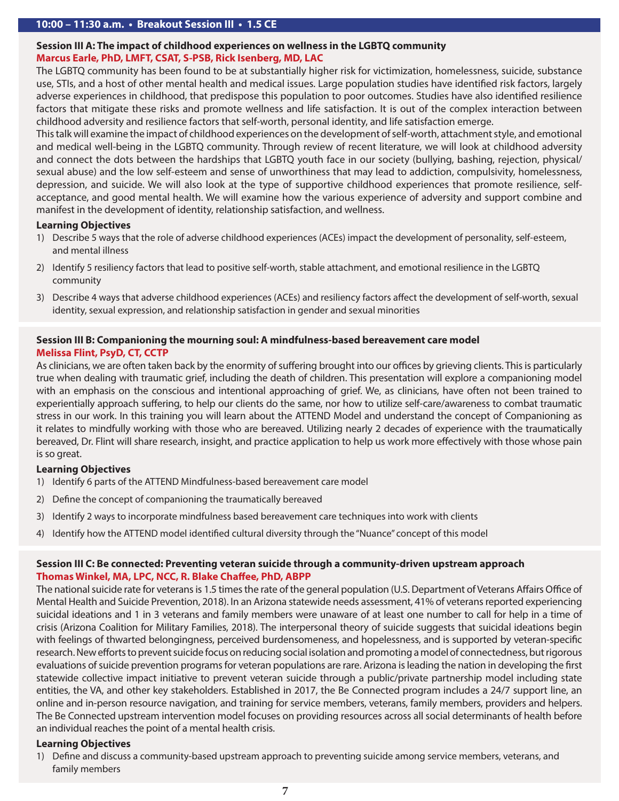#### **Session III A: The impact of childhood experiences on wellness in the LGBTQ community Marcus Earle, PhD, LMFT, CSAT, S-PSB, Rick Isenberg, MD, LAC**

The LGBTQ community has been found to be at substantially higher risk for victimization, homelessness, suicide, substance use, STIs, and a host of other mental health and medical issues. Large population studies have identified risk factors, largely adverse experiences in childhood, that predispose this population to poor outcomes. Studies have also identified resilience factors that mitigate these risks and promote wellness and life satisfaction. It is out of the complex interaction between childhood adversity and resilience factors that self-worth, personal identity, and life satisfaction emerge.

This talk will examine the impact of childhood experiences on the development of self-worth, attachment style, and emotional and medical well-being in the LGBTQ community. Through review of recent literature, we will look at childhood adversity and connect the dots between the hardships that LGBTQ youth face in our society (bullying, bashing, rejection, physical/ sexual abuse) and the low self-esteem and sense of unworthiness that may lead to addiction, compulsivity, homelessness, depression, and suicide. We will also look at the type of supportive childhood experiences that promote resilience, selfacceptance, and good mental health. We will examine how the various experience of adversity and support combine and manifest in the development of identity, relationship satisfaction, and wellness.

#### **Learning Objectives**

- 1) Describe 5 ways that the role of adverse childhood experiences (ACEs) impact the development of personality, self-esteem, and mental illness
- 2) Identify 5 resiliency factors that lead to positive self-worth, stable attachment, and emotional resilience in the LGBTQ community
- 3) Describe 4 ways that adverse childhood experiences (ACEs) and resiliency factors affect the development of self-worth, sexual identity, sexual expression, and relationship satisfaction in gender and sexual minorities

#### **Session III B: Companioning the mourning soul: A mindfulness-based bereavement care model Melissa Flint, PsyD, CT, CCTP**

As clinicians, we are often taken back by the enormity of suffering brought into our offices by grieving clients. This is particularly true when dealing with traumatic grief, including the death of children. This presentation will explore a companioning model with an emphasis on the conscious and intentional approaching of grief. We, as clinicians, have often not been trained to experientially approach suffering, to help our clients do the same, nor how to utilize self-care/awareness to combat traumatic stress in our work. In this training you will learn about the ATTEND Model and understand the concept of Companioning as it relates to mindfully working with those who are bereaved. Utilizing nearly 2 decades of experience with the traumatically bereaved, Dr. Flint will share research, insight, and practice application to help us work more effectively with those whose pain is so great.

#### **Learning Objectives**

- 1) Identify 6 parts of the ATTEND Mindfulness-based bereavement care model
- 2) Define the concept of companioning the traumatically bereaved
- 3) Identify 2 ways to incorporate mindfulness based bereavement care techniques into work with clients
- 4) Identify how the ATTEND model identified cultural diversity through the "Nuance" concept of this model

#### **Session III C: Be connected: Preventing veteran suicide through a community-driven upstream approach Thomas Winkel, MA, LPC, NCC, R. Blake Chaffee, PhD, ABPP**

The national suicide rate for veterans is 1.5 times the rate of the general population (U.S. Department of Veterans Affairs Office of Mental Health and Suicide Prevention, 2018). In an Arizona statewide needs assessment, 41% of veterans reported experiencing suicidal ideations and 1 in 3 veterans and family members were unaware of at least one number to call for help in a time of crisis (Arizona Coalition for Military Families, 2018). The interpersonal theory of suicide suggests that suicidal ideations begin with feelings of thwarted belongingness, perceived burdensomeness, and hopelessness, and is supported by veteran-specific research. New efforts to prevent suicide focus on reducing social isolation and promoting a model of connectedness, but rigorous evaluations of suicide prevention programs for veteran populations are rare. Arizona is leading the nation in developing the first statewide collective impact initiative to prevent veteran suicide through a public/private partnership model including state entities, the VA, and other key stakeholders. Established in 2017, the Be Connected program includes a 24/7 support line, an online and in-person resource navigation, and training for service members, veterans, family members, providers and helpers. The Be Connected upstream intervention model focuses on providing resources across all social determinants of health before an individual reaches the point of a mental health crisis.

#### **Learning Objectives**

1) Define and discuss a community-based upstream approach to preventing suicide among service members, veterans, and family members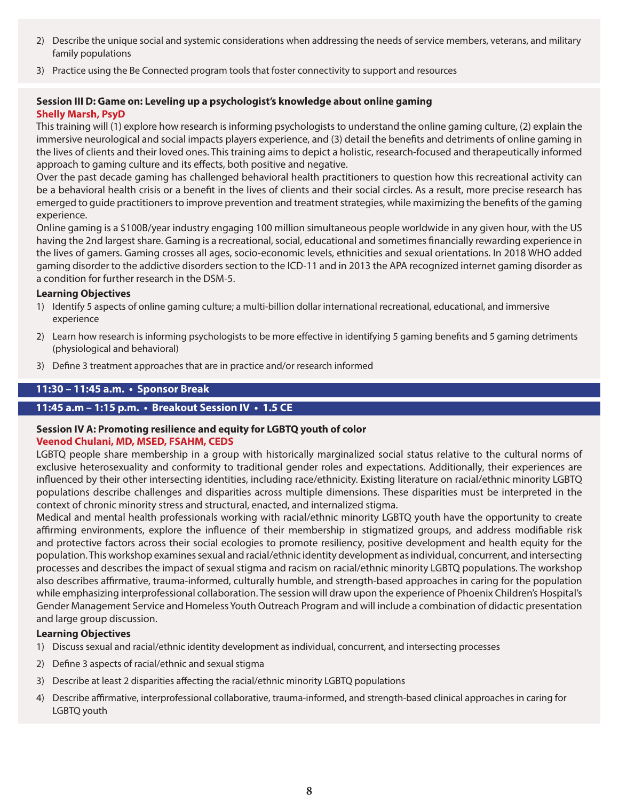- 2) Describe the unique social and systemic considerations when addressing the needs of service members, veterans, and military family populations
- 3) Practice using the Be Connected program tools that foster connectivity to support and resources

#### **Session III D: Game on: Leveling up a psychologist's knowledge about online gaming Shelly Marsh, PsyD**

This training will (1) explore how research is informing psychologists to understand the online gaming culture, (2) explain the immersive neurological and social impacts players experience, and (3) detail the benefits and detriments of online gaming in the lives of clients and their loved ones. This training aims to depict a holistic, research-focused and therapeutically informed approach to gaming culture and its effects, both positive and negative.

Over the past decade gaming has challenged behavioral health practitioners to question how this recreational activity can be a behavioral health crisis or a benefit in the lives of clients and their social circles. As a result, more precise research has emerged to guide practitioners to improve prevention and treatment strategies, while maximizing the benefits of the gaming experience.

Online gaming is a \$100B/year industry engaging 100 million simultaneous people worldwide in any given hour, with the US having the 2nd largest share. Gaming is a recreational, social, educational and sometimes financially rewarding experience in the lives of gamers. Gaming crosses all ages, socio-economic levels, ethnicities and sexual orientations. In 2018 WHO added gaming disorder to the addictive disorders section to the ICD-11 and in 2013 the APA recognized internet gaming disorder as a condition for further research in the DSM-5.

#### **Learning Objectives**

- 1) Identify 5 aspects of online gaming culture; a multi-billion dollar international recreational, educational, and immersive experience
- 2) Learn how research is informing psychologists to be more effective in identifying 5 gaming benefits and 5 gaming detriments (physiological and behavioral)
- 3) Define 3 treatment approaches that are in practice and/or research informed

#### **11:30 – 11:45 a.m. • Sponsor Break**

#### **11:45 a.m – 1:15 p.m. • Breakout Session IV • 1.5 CE**

#### **Session IV A: Promoting resilience and equity for LGBTQ youth of color Veenod Chulani, MD, MSED, FSAHM, CEDS**

LGBTQ people share membership in a group with historically marginalized social status relative to the cultural norms of exclusive heterosexuality and conformity to traditional gender roles and expectations. Additionally, their experiences are influenced by their other intersecting identities, including race/ethnicity. Existing literature on racial/ethnic minority LGBTQ populations describe challenges and disparities across multiple dimensions. These disparities must be interpreted in the context of chronic minority stress and structural, enacted, and internalized stigma.

Medical and mental health professionals working with racial/ethnic minority LGBTQ youth have the opportunity to create affirming environments, explore the influence of their membership in stigmatized groups, and address modifiable risk and protective factors across their social ecologies to promote resiliency, positive development and health equity for the population. This workshop examines sexual and racial/ethnic identity development as individual, concurrent, and intersecting processes and describes the impact of sexual stigma and racism on racial/ethnic minority LGBTQ populations. The workshop also describes affirmative, trauma-informed, culturally humble, and strength-based approaches in caring for the population while emphasizing interprofessional collaboration. The session will draw upon the experience of Phoenix Children's Hospital's Gender Management Service and Homeless Youth Outreach Program and will include a combination of didactic presentation and large group discussion.

#### **Learning Objectives**

- 1) Discuss sexual and racial/ethnic identity development as individual, concurrent, and intersecting processes
- 2) Define 3 aspects of racial/ethnic and sexual stigma
- 3) Describe at least 2 disparities affecting the racial/ethnic minority LGBTQ populations
- 4) Describe affirmative, interprofessional collaborative, trauma-informed, and strength-based clinical approaches in caring for LGBTQ youth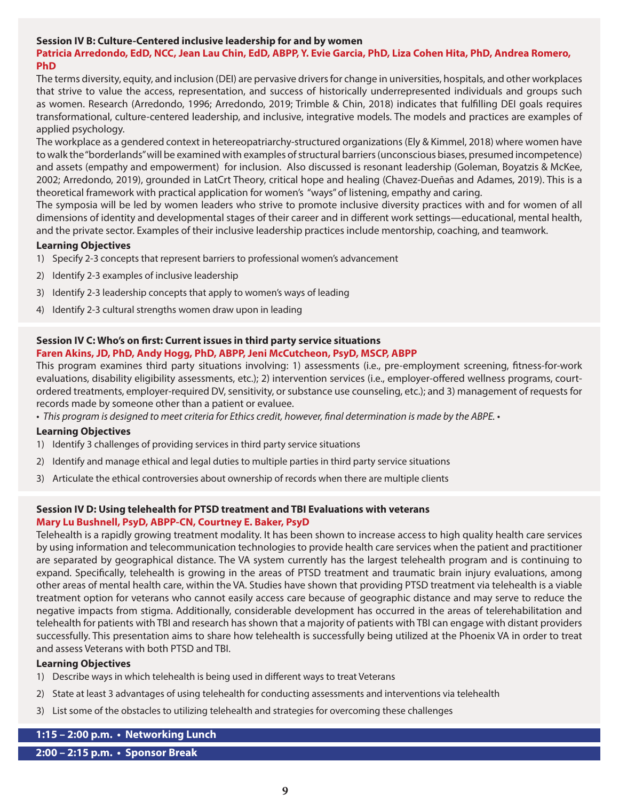#### **Session IV B: Culture-Centered inclusive leadership for and by women**

#### **Patricia Arredondo, EdD, NCC, Jean Lau Chin, EdD, ABPP, Y. Evie Garcia, PhD, Liza Cohen Hita, PhD, Andrea Romero, PhD**

The terms diversity, equity, and inclusion (DEI) are pervasive drivers for change in universities, hospitals, and other workplaces that strive to value the access, representation, and success of historically underrepresented individuals and groups such as women. Research (Arredondo, 1996; Arredondo, 2019; Trimble & Chin, 2018) indicates that fulfilling DEI goals requires transformational, culture-centered leadership, and inclusive, integrative models. The models and practices are examples of applied psychology.

The workplace as a gendered context in hetereopatriarchy-structured organizations (Ely & Kimmel, 2018) where women have to walk the "borderlands" will be examined with examples of structural barriers (unconscious biases, presumed incompetence) and assets (empathy and empowerment) for inclusion. Also discussed is resonant leadership (Goleman, Boyatzis & McKee, 2002; Arredondo, 2019), grounded in LatCrt Theory, critical hope and healing (Chavez-Dueñas and Adames, 2019). This is a theoretical framework with practical application for women's "ways" of listening, empathy and caring.

The symposia will be led by women leaders who strive to promote inclusive diversity practices with and for women of all dimensions of identity and developmental stages of their career and in different work settings—educational, mental health, and the private sector. Examples of their inclusive leadership practices include mentorship, coaching, and teamwork.

#### **Learning Objectives**

- 1) Specify 2-3 concepts that represent barriers to professional women's advancement
- 2) Identify 2-3 examples of inclusive leadership
- 3) Identify 2-3 leadership concepts that apply to women's ways of leading
- 4) Identify 2-3 cultural strengths women draw upon in leading

#### **Session IV C: Who's on first: Current issues in third party service situations Faren Akins, JD, PhD, Andy Hogg, PhD, ABPP, Jeni McCutcheon, PsyD, MSCP, ABPP**

This program examines third party situations involving: 1) assessments (i.e., pre-employment screening, fitness-for-work evaluations, disability eligibility assessments, etc.); 2) intervention services (i.e., employer-offered wellness programs, courtordered treatments, employer-required DV, sensitivity, or substance use counseling, etc.); and 3) management of requests for records made by someone other than a patient or evaluee.

*• This program is designed to meet criteria for Ethics credit, however, final determination is made by the ABPE. •*

#### **Learning Objectives**

- 1) Identify 3 challenges of providing services in third party service situations
- 2) Identify and manage ethical and legal duties to multiple parties in third party service situations
- 3) Articulate the ethical controversies about ownership of records when there are multiple clients

#### **Session IV D: Using telehealth for PTSD treatment and TBI Evaluations with veterans Mary Lu Bushnell, PsyD, ABPP-CN, Courtney E. Baker, PsyD**

Telehealth is a rapidly growing treatment modality. It has been shown to increase access to high quality health care services by using information and telecommunication technologies to provide health care services when the patient and practitioner are separated by geographical distance. The VA system currently has the largest telehealth program and is continuing to expand. Specifically, telehealth is growing in the areas of PTSD treatment and traumatic brain injury evaluations, among other areas of mental health care, within the VA. Studies have shown that providing PTSD treatment via telehealth is a viable treatment option for veterans who cannot easily access care because of geographic distance and may serve to reduce the negative impacts from stigma. Additionally, considerable development has occurred in the areas of telerehabilitation and telehealth for patients with TBI and research has shown that a majority of patients with TBI can engage with distant providers successfully. This presentation aims to share how telehealth is successfully being utilized at the Phoenix VA in order to treat and assess Veterans with both PTSD and TBI.

#### **Learning Objectives**

- 1) Describe ways in which telehealth is being used in different ways to treat Veterans
- 2) State at least 3 advantages of using telehealth for conducting assessments and interventions via telehealth
- 3) List some of the obstacles to utilizing telehealth and strategies for overcoming these challenges

#### **1:15 – 2:00 p.m. • Networking Lunch**

**2:00 – 2:15 p.m. • Sponsor Break**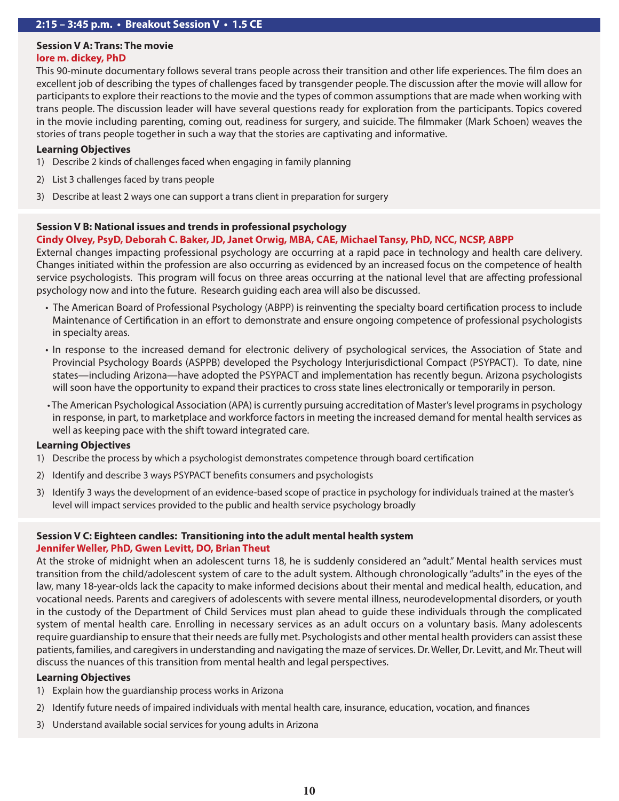# **Session V A: Trans: The movie**

#### **lore m. dickey, PhD**

This 90-minute documentary follows several trans people across their transition and other life experiences. The film does an excellent job of describing the types of challenges faced by transgender people. The discussion after the movie will allow for participants to explore their reactions to the movie and the types of common assumptions that are made when working with trans people. The discussion leader will have several questions ready for exploration from the participants. Topics covered in the movie including parenting, coming out, readiness for surgery, and suicide. The filmmaker (Mark Schoen) weaves the stories of trans people together in such a way that the stories are captivating and informative.

#### **Learning Objectives**

- 1) Describe 2 kinds of challenges faced when engaging in family planning
- 2) List 3 challenges faced by trans people
- 3) Describe at least 2 ways one can support a trans client in preparation for surgery

#### **Session V B: National issues and trends in professional psychology**

#### **Cindy Olvey, PsyD, Deborah C. Baker, JD, Janet Orwig, MBA, CAE, Michael Tansy, PhD, NCC, NCSP, ABPP**

External changes impacting professional psychology are occurring at a rapid pace in technology and health care delivery. Changes initiated within the profession are also occurring as evidenced by an increased focus on the competence of health service psychologists. This program will focus on three areas occurring at the national level that are affecting professional psychology now and into the future. Research guiding each area will also be discussed.

- The American Board of Professional Psychology (ABPP) is reinventing the specialty board certification process to include Maintenance of Certification in an effort to demonstrate and ensure ongoing competence of professional psychologists in specialty areas.
- In response to the increased demand for electronic delivery of psychological services, the Association of State and Provincial Psychology Boards (ASPPB) developed the Psychology Interjurisdictional Compact (PSYPACT). To date, nine states—including Arizona—have adopted the PSYPACT and implementation has recently begun. Arizona psychologists will soon have the opportunity to expand their practices to cross state lines electronically or temporarily in person.
- The American Psychological Association (APA) is currently pursuing accreditation of Master's level programs in psychology in response, in part, to marketplace and workforce factors in meeting the increased demand for mental health services as well as keeping pace with the shift toward integrated care.

#### **Learning Objectives**

- 1) Describe the process by which a psychologist demonstrates competence through board certification
- 2) Identify and describe 3 ways PSYPACT benefits consumers and psychologists
- 3) Identify 3 ways the development of an evidence-based scope of practice in psychology for individuals trained at the master's level will impact services provided to the public and health service psychology broadly

### **Session V C: Eighteen candles: Transitioning into the adult mental health system Jennifer Weller, PhD, Gwen Levitt, DO, Brian Theut**

At the stroke of midnight when an adolescent turns 18, he is suddenly considered an "adult." Mental health services must transition from the child/adolescent system of care to the adult system. Although chronologically "adults" in the eyes of the law, many 18-year-olds lack the capacity to make informed decisions about their mental and medical health, education, and vocational needs. Parents and caregivers of adolescents with severe mental illness, neurodevelopmental disorders, or youth in the custody of the Department of Child Services must plan ahead to guide these individuals through the complicated system of mental health care. Enrolling in necessary services as an adult occurs on a voluntary basis. Many adolescents require guardianship to ensure that their needs are fully met. Psychologists and other mental health providers can assist these patients, families, and caregivers in understanding and navigating the maze of services. Dr. Weller, Dr. Levitt, and Mr. Theut will discuss the nuances of this transition from mental health and legal perspectives.

#### **Learning Objectives**

- 1) Explain how the guardianship process works in Arizona
- 2) Identify future needs of impaired individuals with mental health care, insurance, education, vocation, and finances
- 3) Understand available social services for young adults in Arizona